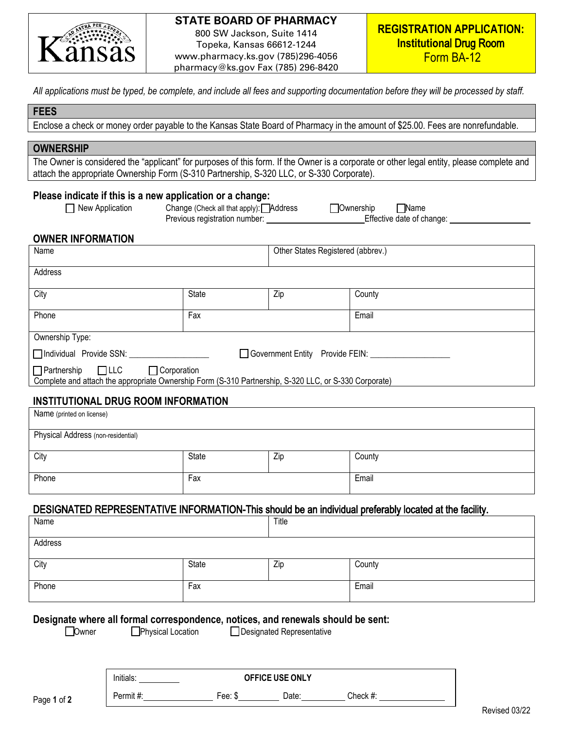

## **STATE BOARD OF PHARMACY**

800 SW Jackson, Suite 1414 Topeka, Kansas 66612-1244 www.pharmacy.ks.gov (785)296-4056 pharmacy@ks.gov Fax (785) 296-8420

*All applications must be typed, be complete, and include all fees and supporting documentation before they will be processed by staff.* 

## **FEES**

Enclose a check or money order payable to the Kansas State Board of Pharmacy in the amount of \$25.00. Fees are nonrefundable.

### **OWNERSHIP**

The Owner is considered the "applicant" for purposes of this form. If the Owner is a corporate or other legal entity, please complete and attach the appropriate Ownership Form (S-310 Partnership, S-320 LLC, or S-330 Corporate).

#### **Please indicate if this is a new application or a change:**

New Application Change (Check all that apply): **Address Ownership** Mame Previous registration number: Effective date of change:

# **OWNER INFORMATION**

| Name                                                                                                                                                         |              | Other States Registered (abbrev.) |        |  |
|--------------------------------------------------------------------------------------------------------------------------------------------------------------|--------------|-----------------------------------|--------|--|
| Address                                                                                                                                                      |              |                                   |        |  |
| City                                                                                                                                                         | <b>State</b> | Zip                               | County |  |
| Phone                                                                                                                                                        | Fax          |                                   | Email  |  |
| Ownership Type:                                                                                                                                              |              |                                   |        |  |
| □ Individual Provide SSN:<br>□ Government Entity Provide FEIN:                                                                                               |              |                                   |        |  |
| $\Box$ Partnership $\Box$ LLC<br>$\Box$ Corporation<br>Complete and attach the appropriate Ownership Form (S-310 Partnership, S-320 LLC, or S-330 Corporate) |              |                                   |        |  |

# **INSTITUTIONAL DRUG ROOM INFORMATION**

| Name (printed on license)          |       |     |        |  |
|------------------------------------|-------|-----|--------|--|
| Physical Address (non-residential) |       |     |        |  |
| City                               | State | Zip | County |  |
| Phone                              | Fax   |     | Email  |  |

# DESIGNATED REPRESENTATIVE INFORMATION-This should be an individual preferably located at the facility.

| Name    |       | Title |        |
|---------|-------|-------|--------|
| Address |       |       |        |
| City    | State | Zip   | County |
| Phone   | Fax   |       | Email  |

## **Designate where all formal correspondence, notices, and renewals should be sent:**

□ Owner Physical Location Designated Representative

| $\cdots$<br>Initials: | OFFICE USE ONLY |       |          |
|-----------------------|-----------------|-------|----------|
| Permit #:             | Fee:<br>- 10    | Date: | Check #: |